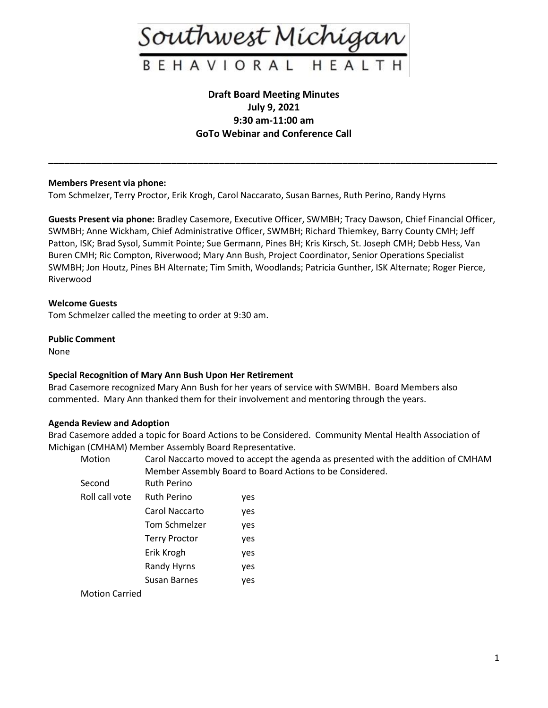

# **Draft Board Meeting Minutes July 9, 2021 9:30 am-11:00 am GoTo Webinar and Conference Call**

**\_\_\_\_\_\_\_\_\_\_\_\_\_\_\_\_\_\_\_\_\_\_\_\_\_\_\_\_\_\_\_\_\_\_\_\_\_\_\_\_\_\_\_\_\_\_\_\_\_\_\_\_\_\_\_\_\_\_\_\_\_\_\_\_\_\_\_\_\_\_\_\_\_\_\_\_\_\_\_\_\_\_\_\_**

# **Members Present via phone:**

Tom Schmelzer, Terry Proctor, Erik Krogh, Carol Naccarato, Susan Barnes, Ruth Perino, Randy Hyrns

**Guests Present via phone:** Bradley Casemore, Executive Officer, SWMBH; Tracy Dawson, Chief Financial Officer, SWMBH; Anne Wickham, Chief Administrative Officer, SWMBH; Richard Thiemkey, Barry County CMH; Jeff Patton, ISK; Brad Sysol, Summit Pointe; Sue Germann, Pines BH; Kris Kirsch, St. Joseph CMH; Debb Hess, Van Buren CMH; Ric Compton, Riverwood; Mary Ann Bush, Project Coordinator, Senior Operations Specialist SWMBH; Jon Houtz, Pines BH Alternate; Tim Smith, Woodlands; Patricia Gunther, ISK Alternate; Roger Pierce, Riverwood

## **Welcome Guests**

Tom Schmelzer called the meeting to order at 9:30 am.

### **Public Comment**

None

# **Special Recognition of Mary Ann Bush Upon Her Retirement**

Brad Casemore recognized Mary Ann Bush for her years of service with SWMBH. Board Members also commented. Mary Ann thanked them for their involvement and mentoring through the years.

### **Agenda Review and Adoption**

Brad Casemore added a topic for Board Actions to be Considered. Community Mental Health Association of Michigan (CMHAM) Member Assembly Board Representative.

| Motion | Carol Naccarto moved to accept the agenda as presented with the addition of CMHAM |  |  |
|--------|-----------------------------------------------------------------------------------|--|--|
|        | Member Assembly Board to Board Actions to be Considered.                          |  |  |

| Second         | <b>Ruth Perino</b>   |     |
|----------------|----------------------|-----|
| Roll call vote | <b>Ruth Perino</b>   | yes |
|                | Carol Naccarto       | yes |
|                | Tom Schmelzer        | yes |
|                | <b>Terry Proctor</b> | yes |
|                | Erik Krogh           | yes |
|                | <b>Randy Hyrns</b>   | yes |
|                | Susan Barnes         | yes |
| .              |                      |     |

Motion Carried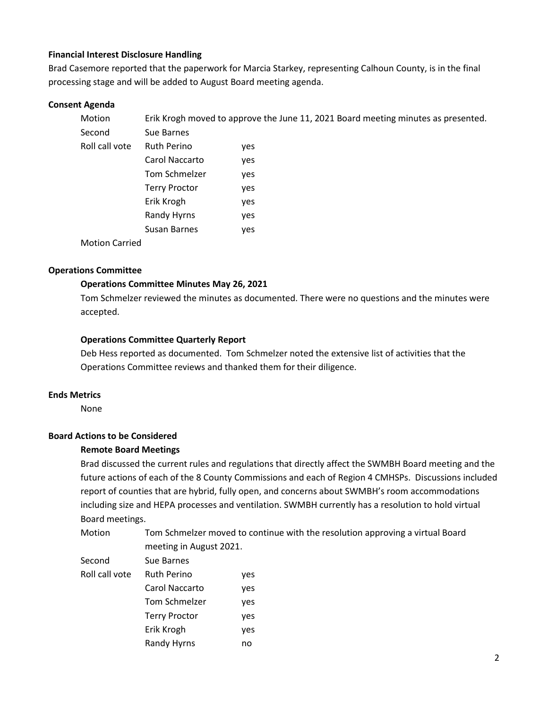# **Financial Interest Disclosure Handling**

Brad Casemore reported that the paperwork for Marcia Starkey, representing Calhoun County, is in the final processing stage and will be added to August Board meeting agenda.

## **Consent Agenda**

| Motion                | Erik Krogh moved to approve the June 11, 2021 Board meeting minutes as presented. |     |  |
|-----------------------|-----------------------------------------------------------------------------------|-----|--|
| Second                | Sue Barnes                                                                        |     |  |
| Roll call vote        | <b>Ruth Perino</b>                                                                | yes |  |
|                       | Carol Naccarto                                                                    | yes |  |
|                       | Tom Schmelzer                                                                     | yes |  |
|                       | <b>Terry Proctor</b>                                                              | yes |  |
|                       | Erik Krogh                                                                        | yes |  |
|                       | Randy Hyrns                                                                       | yes |  |
|                       | Susan Barnes                                                                      | yes |  |
| <b>Motion Carried</b> |                                                                                   |     |  |

# **Operations Committee**

## **Operations Committee Minutes May 26, 2021**

Tom Schmelzer reviewed the minutes as documented. There were no questions and the minutes were accepted.

# **Operations Committee Quarterly Report**

Deb Hess reported as documented. Tom Schmelzer noted the extensive list of activities that the Operations Committee reviews and thanked them for their diligence.

### **Ends Metrics**

None

# **Board Actions to be Considered**

### **Remote Board Meetings**

Brad discussed the current rules and regulations that directly affect the SWMBH Board meeting and the future actions of each of the 8 County Commissions and each of Region 4 CMHSPs. Discussions included report of counties that are hybrid, fully open, and concerns about SWMBH's room accommodations including size and HEPA processes and ventilation. SWMBH currently has a resolution to hold virtual Board meetings.

| Motion          | Tom Schmelzer moved to continue with the resolution approving a virtual Board |
|-----------------|-------------------------------------------------------------------------------|
|                 | meeting in August 2021.                                                       |
| Second          | Sue Barnes                                                                    |
| ومدمين الموالون | $D+h$ $D$<br>$\cdots$                                                         |

| Roll call vote | <b>Ruth Perino</b>   | yes |
|----------------|----------------------|-----|
|                | Carol Naccarto       | yes |
|                | Tom Schmelzer        | yes |
|                | <b>Terry Proctor</b> | yes |
|                | Erik Krogh           | yes |
|                | <b>Randy Hyrns</b>   | no  |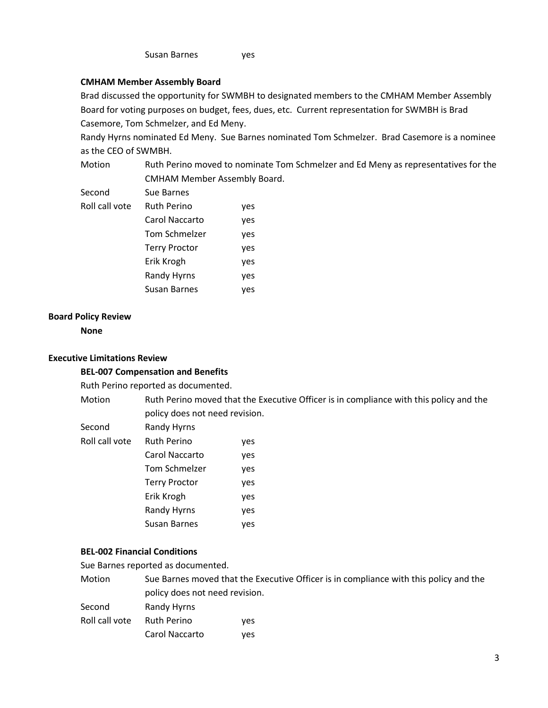## **CMHAM Member Assembly Board**

Brad discussed the opportunity for SWMBH to designated members to the CMHAM Member Assembly Board for voting purposes on budget, fees, dues, etc. Current representation for SWMBH is Brad Casemore, Tom Schmelzer, and Ed Meny.

Randy Hyrns nominated Ed Meny. Sue Barnes nominated Tom Schmelzer. Brad Casemore is a nominee as the CEO of SWMBH.

Motion Ruth Perino moved to nominate Tom Schmelzer and Ed Meny as representatives for the CMHAM Member Assembly Board.

| Second         | Sue Barnes           |     |
|----------------|----------------------|-----|
| Roll call vote | <b>Ruth Perino</b>   | yes |
|                | Carol Naccarto       | ves |
|                | Tom Schmelzer        | yes |
|                | <b>Terry Proctor</b> | yes |
|                | Erik Krogh           | yes |
|                | <b>Randy Hyrns</b>   | ves |
|                | Susan Barnes         | ves |

# **Board Policy Review**

**None**

### **Executive Limitations Review**

### **BEL-007 Compensation and Benefits**

Ruth Perino reported as documented.

Motion Ruth Perino moved that the Executive Officer is in compliance with this policy and the policy does not need revision.

- Second Randy Hyrns
- Roll call vote Ruth Perino yes Carol Naccarto yes Tom Schmelzer yes Terry Proctor yes Erik Krogh yes Randy Hyrns yes Susan Barnes yes

# **BEL-002 Financial Conditions**

Sue Barnes reported as documented.

Motion Sue Barnes moved that the Executive Officer is in compliance with this policy and the policy does not need revision.

- Second Randy Hyrns
- Roll call vote Ruth Perino yes Carol Naccarto yes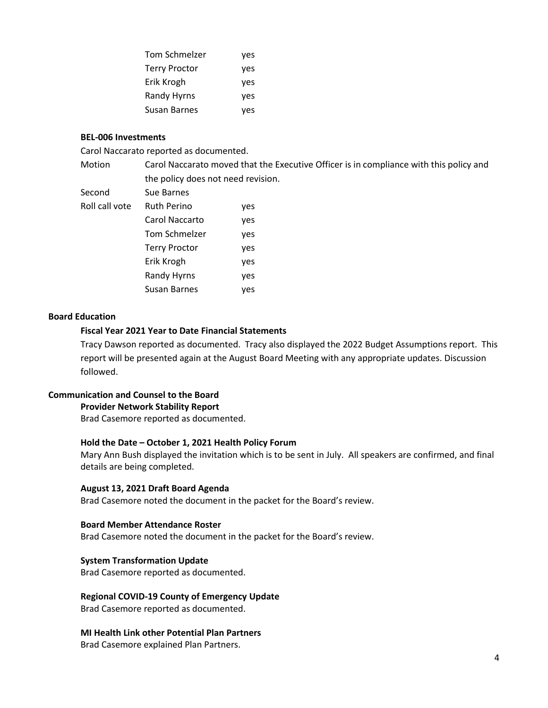| Tom Schmelzer        | yes |
|----------------------|-----|
| <b>Terry Proctor</b> | yes |
| Erik Krogh           | yes |
| <b>Randy Hyrns</b>   | yes |
| Susan Barnes         | ves |

### **BEL-006 Investments**

Carol Naccarato reported as documented.

Motion Carol Naccarato moved that the Executive Officer is in compliance with this policy and the policy does not need revision.

Second Sue Barnes

| Roll call vote | <b>Ruth Perino</b>   | yes |
|----------------|----------------------|-----|
|                | Carol Naccarto       | yes |
|                | Tom Schmelzer        | yes |
|                | <b>Terry Proctor</b> | yes |
|                | Erik Krogh           | yes |
|                | <b>Randy Hyrns</b>   | yes |
|                | Susan Barnes         | ves |

### **Board Education**

### **Fiscal Year 2021 Year to Date Financial Statements**

Tracy Dawson reported as documented. Tracy also displayed the 2022 Budget Assumptions report. This report will be presented again at the August Board Meeting with any appropriate updates. Discussion followed.

## **Communication and Counsel to the Board**

# **Provider Network Stability Report**

Brad Casemore reported as documented.

#### **Hold the Date – October 1, 2021 Health Policy Forum**

Mary Ann Bush displayed the invitation which is to be sent in July. All speakers are confirmed, and final details are being completed.

### **August 13, 2021 Draft Board Agenda**

Brad Casemore noted the document in the packet for the Board's review.

### **Board Member Attendance Roster**

Brad Casemore noted the document in the packet for the Board's review.

### **System Transformation Update**

Brad Casemore reported as documented.

### **Regional COVID-19 County of Emergency Update**

Brad Casemore reported as documented.

#### **MI Health Link other Potential Plan Partners**

Brad Casemore explained Plan Partners.